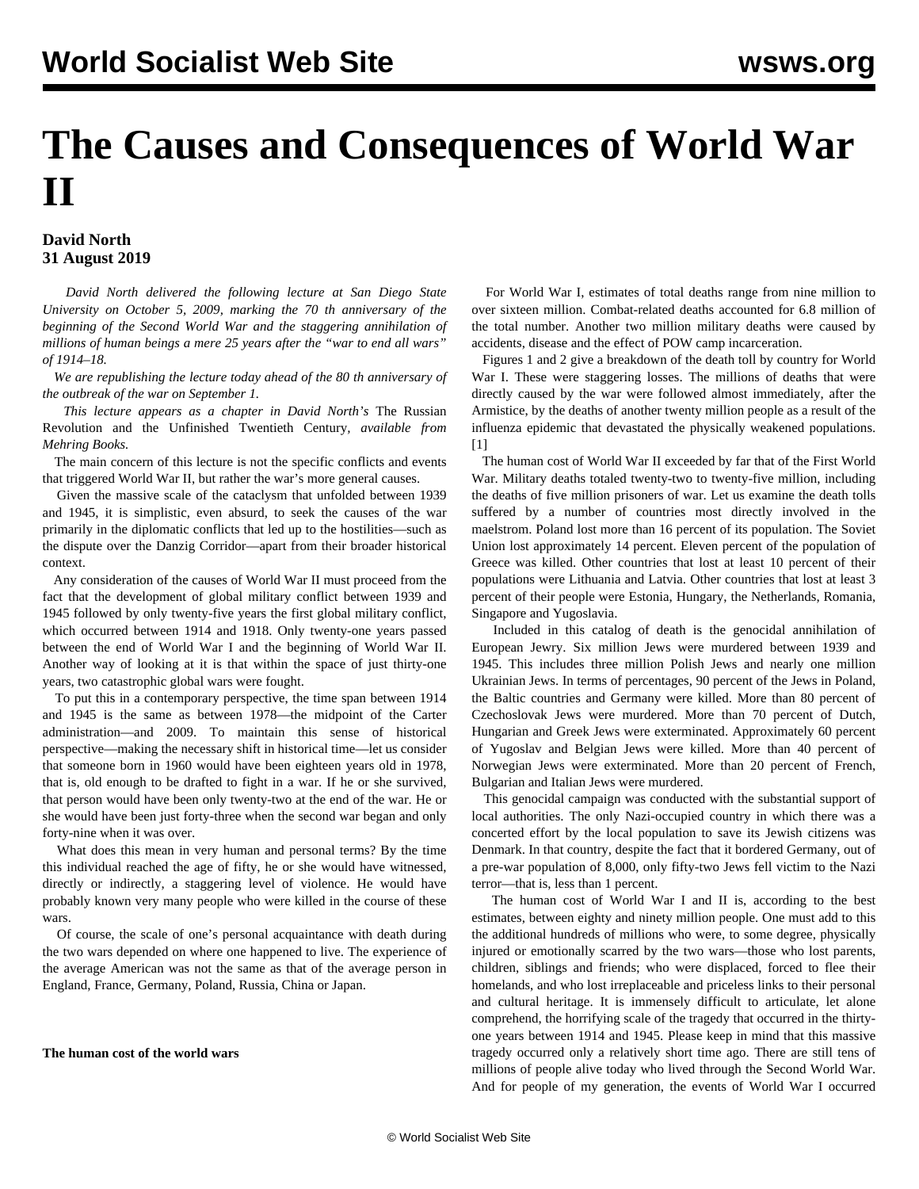# **The Causes and Consequences of World War II**

# **David North 31 August 2019**

 *David North delivered the following lecture at San Diego State University on October 5, 2009, marking the 70 th anniversary of the beginning of the Second World War and the staggering annihilation of millions of human beings a mere 25 years after the "war to end all wars" of 1914–18.*

 *We are republishing the lecture today ahead of the 80 th anniversary of the outbreak of the war on September 1.*

 *This lecture appears as a chapter in David North's* [The Russian](https://mehring.com/david-north/the-russian-revolution-and-the-unfinished-twentieth-century-420.html) [Revolution and the Unfinished Twentieth Century](https://mehring.com/david-north/the-russian-revolution-and-the-unfinished-twentieth-century-420.html)*, available from Mehring Books.*

 The main concern of this lecture is not the specific conflicts and events that triggered World War II, but rather the war's more general causes.

 Given the massive scale of the cataclysm that unfolded between 1939 and 1945, it is simplistic, even absurd, to seek the causes of the war primarily in the diplomatic conflicts that led up to the hostilities—such as the dispute over the Danzig Corridor—apart from their broader historical context.

 Any consideration of the causes of World War II must proceed from the fact that the development of global military conflict between 1939 and 1945 followed by only twenty-five years the first global military conflict, which occurred between 1914 and 1918. Only twenty-one years passed between the end of World War I and the beginning of World War II. Another way of looking at it is that within the space of just thirty-one years, two catastrophic global wars were fought.

 To put this in a contemporary perspective, the time span between 1914 and 1945 is the same as between 1978—the midpoint of the Carter administration—and 2009. To maintain this sense of historical perspective—making the necessary shift in historical time—let us consider that someone born in 1960 would have been eighteen years old in 1978, that is, old enough to be drafted to fight in a war. If he or she survived, that person would have been only twenty-two at the end of the war. He or she would have been just forty-three when the second war began and only forty-nine when it was over.

 What does this mean in very human and personal terms? By the time this individual reached the age of fifty, he or she would have witnessed, directly or indirectly, a staggering level of violence. He would have probably known very many people who were killed in the course of these wars.

 Of course, the scale of one's personal acquaintance with death during the two wars depended on where one happened to live. The experience of the average American was not the same as that of the average person in England, France, Germany, Poland, Russia, China or Japan.

### **The human cost of the world wars**

 For World War I, estimates of total deaths range from nine million to over sixteen million. Combat-related deaths accounted for 6.8 million of the total number. Another two million military deaths were caused by accidents, disease and the effect of POW camp incarceration.

 Figures 1 and 2 give a breakdown of the death toll by country for World War I. These were staggering losses. The millions of deaths that were directly caused by the war were followed almost immediately, after the Armistice, by the deaths of another twenty million people as a result of the influenza epidemic that devastated the physically weakened populations. [1]

 The human cost of World War II exceeded by far that of the First World War. Military deaths totaled twenty-two to twenty-five million, including the deaths of five million prisoners of war. Let us examine the death tolls suffered by a number of countries most directly involved in the maelstrom. Poland lost more than 16 percent of its population. The Soviet Union lost approximately 14 percent. Eleven percent of the population of Greece was killed. Other countries that lost at least 10 percent of their populations were Lithuania and Latvia. Other countries that lost at least 3 percent of their people were Estonia, Hungary, the Netherlands, Romania, Singapore and Yugoslavia.

 Included in this catalog of death is the genocidal annihilation of European Jewry. Six million Jews were murdered between 1939 and 1945. This includes three million Polish Jews and nearly one million Ukrainian Jews. In terms of percentages, 90 percent of the Jews in Poland, the Baltic countries and Germany were killed. More than 80 percent of Czechoslovak Jews were murdered. More than 70 percent of Dutch, Hungarian and Greek Jews were exterminated. Approximately 60 percent of Yugoslav and Belgian Jews were killed. More than 40 percent of Norwegian Jews were exterminated. More than 20 percent of French, Bulgarian and Italian Jews were murdered.

 This genocidal campaign was conducted with the substantial support of local authorities. The only Nazi-occupied country in which there was a concerted effort by the local population to save its Jewish citizens was Denmark. In that country, despite the fact that it bordered Germany, out of a pre-war population of 8,000, only fifty-two Jews fell victim to the Nazi terror—that is, less than 1 percent.

 The human cost of World War I and II is, according to the best estimates, between eighty and ninety million people. One must add to this the additional hundreds of millions who were, to some degree, physically injured or emotionally scarred by the two wars—those who lost parents, children, siblings and friends; who were displaced, forced to flee their homelands, and who lost irreplaceable and priceless links to their personal and cultural heritage. It is immensely difficult to articulate, let alone comprehend, the horrifying scale of the tragedy that occurred in the thirtyone years between 1914 and 1945. Please keep in mind that this massive tragedy occurred only a relatively short time ago. There are still tens of millions of people alive today who lived through the Second World War. And for people of my generation, the events of World War I occurred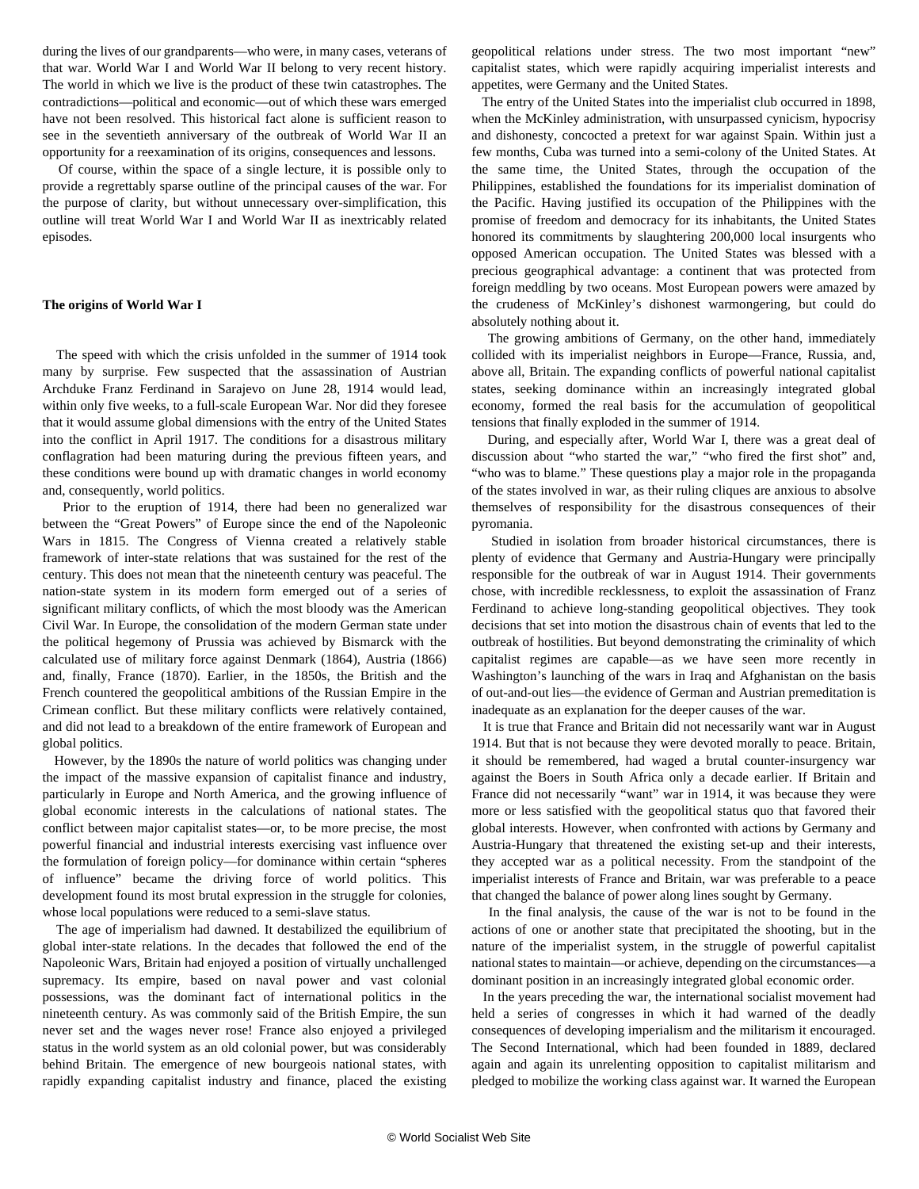during the lives of our grandparents—who were, in many cases, veterans of that war. World War I and World War II belong to very recent history. The world in which we live is the product of these twin catastrophes. The contradictions—political and economic—out of which these wars emerged have not been resolved. This historical fact alone is sufficient reason to see in the seventieth anniversary of the outbreak of World War II an opportunity for a reexamination of its origins, consequences and lessons.

 Of course, within the space of a single lecture, it is possible only to provide a regrettably sparse outline of the principal causes of the war. For the purpose of clarity, but without unnecessary over-simplification, this outline will treat World War I and World War II as inextricably related episodes.

# **The origins of World War I**

 The speed with which the crisis unfolded in the summer of 1914 took many by surprise. Few suspected that the assassination of Austrian Archduke Franz Ferdinand in Sarajevo on June 28, 1914 would lead, within only five weeks, to a full-scale European War. Nor did they foresee that it would assume global dimensions with the entry of the United States into the conflict in April 1917. The conditions for a disastrous military conflagration had been maturing during the previous fifteen years, and these conditions were bound up with dramatic changes in world economy and, consequently, world politics.

 Prior to the eruption of 1914, there had been no generalized war between the "Great Powers" of Europe since the end of the Napoleonic Wars in 1815. The Congress of Vienna created a relatively stable framework of inter-state relations that was sustained for the rest of the century. This does not mean that the nineteenth century was peaceful. The nation-state system in its modern form emerged out of a series of significant military conflicts, of which the most bloody was the American Civil War. In Europe, the consolidation of the modern German state under the political hegemony of Prussia was achieved by Bismarck with the calculated use of military force against Denmark (1864), Austria (1866) and, finally, France (1870). Earlier, in the 1850s, the British and the French countered the geopolitical ambitions of the Russian Empire in the Crimean conflict. But these military conflicts were relatively contained, and did not lead to a breakdown of the entire framework of European and global politics.

 However, by the 1890s the nature of world politics was changing under the impact of the massive expansion of capitalist finance and industry, particularly in Europe and North America, and the growing influence of global economic interests in the calculations of national states. The conflict between major capitalist states—or, to be more precise, the most powerful financial and industrial interests exercising vast influence over the formulation of foreign policy—for dominance within certain "spheres of influence" became the driving force of world politics. This development found its most brutal expression in the struggle for colonies, whose local populations were reduced to a semi-slave status.

 The age of imperialism had dawned. It destabilized the equilibrium of global inter-state relations. In the decades that followed the end of the Napoleonic Wars, Britain had enjoyed a position of virtually unchallenged supremacy. Its empire, based on naval power and vast colonial possessions, was the dominant fact of international politics in the nineteenth century. As was commonly said of the British Empire, the sun never set and the wages never rose! France also enjoyed a privileged status in the world system as an old colonial power, but was considerably behind Britain. The emergence of new bourgeois national states, with rapidly expanding capitalist industry and finance, placed the existing

geopolitical relations under stress. The two most important "new" capitalist states, which were rapidly acquiring imperialist interests and appetites, were Germany and the United States.

 The entry of the United States into the imperialist club occurred in 1898, when the McKinley administration, with unsurpassed cynicism, hypocrisy and dishonesty, concocted a pretext for war against Spain. Within just a few months, Cuba was turned into a semi-colony of the United States. At the same time, the United States, through the occupation of the Philippines, established the foundations for its imperialist domination of the Pacific. Having justified its occupation of the Philippines with the promise of freedom and democracy for its inhabitants, the United States honored its commitments by slaughtering 200,000 local insurgents who opposed American occupation. The United States was blessed with a precious geographical advantage: a continent that was protected from foreign meddling by two oceans. Most European powers were amazed by the crudeness of McKinley's dishonest warmongering, but could do absolutely nothing about it.

 The growing ambitions of Germany, on the other hand, immediately collided with its imperialist neighbors in Europe—France, Russia, and, above all, Britain. The expanding conflicts of powerful national capitalist states, seeking dominance within an increasingly integrated global economy, formed the real basis for the accumulation of geopolitical tensions that finally exploded in the summer of 1914.

 During, and especially after, World War I, there was a great deal of discussion about "who started the war," "who fired the first shot" and, "who was to blame." These questions play a major role in the propaganda of the states involved in war, as their ruling cliques are anxious to absolve themselves of responsibility for the disastrous consequences of their pyromania.

 Studied in isolation from broader historical circumstances, there is plenty of evidence that Germany and Austria-Hungary were principally responsible for the outbreak of war in August 1914. Their governments chose, with incredible recklessness, to exploit the assassination of Franz Ferdinand to achieve long-standing geopolitical objectives. They took decisions that set into motion the disastrous chain of events that led to the outbreak of hostilities. But beyond demonstrating the criminality of which capitalist regimes are capable—as we have seen more recently in Washington's launching of the wars in Iraq and Afghanistan on the basis of out-and-out lies—the evidence of German and Austrian premeditation is inadequate as an explanation for the deeper causes of the war.

 It is true that France and Britain did not necessarily want war in August 1914. But that is not because they were devoted morally to peace. Britain, it should be remembered, had waged a brutal counter-insurgency war against the Boers in South Africa only a decade earlier. If Britain and France did not necessarily "want" war in 1914, it was because they were more or less satisfied with the geopolitical status quo that favored their global interests. However, when confronted with actions by Germany and Austria-Hungary that threatened the existing set-up and their interests, they accepted war as a political necessity. From the standpoint of the imperialist interests of France and Britain, war was preferable to a peace that changed the balance of power along lines sought by Germany.

 In the final analysis, the cause of the war is not to be found in the actions of one or another state that precipitated the shooting, but in the nature of the imperialist system, in the struggle of powerful capitalist national states to maintain—or achieve, depending on the circumstances—a dominant position in an increasingly integrated global economic order.

 In the years preceding the war, the international socialist movement had held a series of congresses in which it had warned of the deadly consequences of developing imperialism and the militarism it encouraged. The Second International, which had been founded in 1889, declared again and again its unrelenting opposition to capitalist militarism and pledged to mobilize the working class against war. It warned the European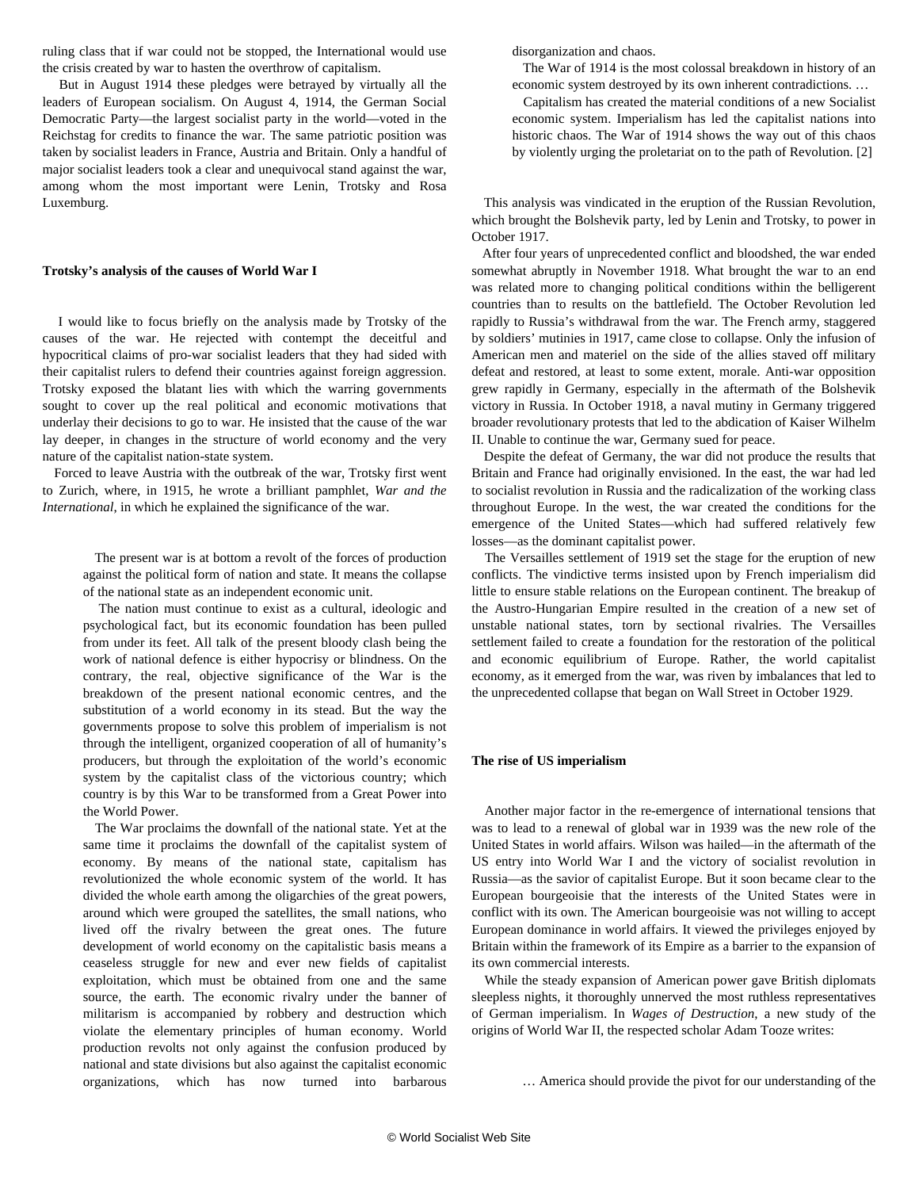ruling class that if war could not be stopped, the International would use the crisis created by war to hasten the overthrow of capitalism.

 But in August 1914 these pledges were betrayed by virtually all the leaders of European socialism. On August 4, 1914, the German Social Democratic Party—the largest socialist party in the world—voted in the Reichstag for credits to finance the war. The same patriotic position was taken by socialist leaders in France, Austria and Britain. Only a handful of major socialist leaders took a clear and unequivocal stand against the war, among whom the most important were Lenin, Trotsky and Rosa Luxemburg.

#### **Trotsky's analysis of the causes of World War I**

 I would like to focus briefly on the analysis made by Trotsky of the causes of the war. He rejected with contempt the deceitful and hypocritical claims of pro-war socialist leaders that they had sided with their capitalist rulers to defend their countries against foreign aggression. Trotsky exposed the blatant lies with which the warring governments sought to cover up the real political and economic motivations that underlay their decisions to go to war. He insisted that the cause of the war lay deeper, in changes in the structure of world economy and the very nature of the capitalist nation-state system.

 Forced to leave Austria with the outbreak of the war, Trotsky first went to Zurich, where, in 1915, he wrote a brilliant pamphlet, *War and the International*, in which he explained the significance of the war.

 The present war is at bottom a revolt of the forces of production against the political form of nation and state. It means the collapse of the national state as an independent economic unit.

 The nation must continue to exist as a cultural, ideologic and psychological fact, but its economic foundation has been pulled from under its feet. All talk of the present bloody clash being the work of national defence is either hypocrisy or blindness. On the contrary, the real, objective significance of the War is the breakdown of the present national economic centres, and the substitution of a world economy in its stead. But the way the governments propose to solve this problem of imperialism is not through the intelligent, organized cooperation of all of humanity's producers, but through the exploitation of the world's economic system by the capitalist class of the victorious country; which country is by this War to be transformed from a Great Power into the World Power.

 The War proclaims the downfall of the national state. Yet at the same time it proclaims the downfall of the capitalist system of economy. By means of the national state, capitalism has revolutionized the whole economic system of the world. It has divided the whole earth among the oligarchies of the great powers, around which were grouped the satellites, the small nations, who lived off the rivalry between the great ones. The future development of world economy on the capitalistic basis means a ceaseless struggle for new and ever new fields of capitalist exploitation, which must be obtained from one and the same source, the earth. The economic rivalry under the banner of militarism is accompanied by robbery and destruction which violate the elementary principles of human economy. World production revolts not only against the confusion produced by national and state divisions but also against the capitalist economic organizations, which has now turned into barbarous

disorganization and chaos.

 The War of 1914 is the most colossal breakdown in history of an economic system destroyed by its own inherent contradictions. …

 Capitalism has created the material conditions of a new Socialist economic system. Imperialism has led the capitalist nations into historic chaos. The War of 1914 shows the way out of this chaos by violently urging the proletariat on to the path of Revolution. [2]

 This analysis was vindicated in the eruption of the Russian Revolution, which brought the Bolshevik party, led by Lenin and Trotsky, to power in October 1917.

 After four years of unprecedented conflict and bloodshed, the war ended somewhat abruptly in November 1918. What brought the war to an end was related more to changing political conditions within the belligerent countries than to results on the battlefield. The October Revolution led rapidly to Russia's withdrawal from the war. The French army, staggered by soldiers' mutinies in 1917, came close to collapse. Only the infusion of American men and materiel on the side of the allies staved off military defeat and restored, at least to some extent, morale. Anti-war opposition grew rapidly in Germany, especially in the aftermath of the Bolshevik victory in Russia. In October 1918, a naval mutiny in Germany triggered broader revolutionary protests that led to the abdication of Kaiser Wilhelm II. Unable to continue the war, Germany sued for peace.

 Despite the defeat of Germany, the war did not produce the results that Britain and France had originally envisioned. In the east, the war had led to socialist revolution in Russia and the radicalization of the working class throughout Europe. In the west, the war created the conditions for the emergence of the United States—which had suffered relatively few losses—as the dominant capitalist power.

 The Versailles settlement of 1919 set the stage for the eruption of new conflicts. The vindictive terms insisted upon by French imperialism did little to ensure stable relations on the European continent. The breakup of the Austro-Hungarian Empire resulted in the creation of a new set of unstable national states, torn by sectional rivalries. The Versailles settlement failed to create a foundation for the restoration of the political and economic equilibrium of Europe. Rather, the world capitalist economy, as it emerged from the war, was riven by imbalances that led to the unprecedented collapse that began on Wall Street in October 1929.

#### **The rise of US imperialism**

 Another major factor in the re-emergence of international tensions that was to lead to a renewal of global war in 1939 was the new role of the United States in world affairs. Wilson was hailed—in the aftermath of the US entry into World War I and the victory of socialist revolution in Russia—as the savior of capitalist Europe. But it soon became clear to the European bourgeoisie that the interests of the United States were in conflict with its own. The American bourgeoisie was not willing to accept European dominance in world affairs. It viewed the privileges enjoyed by Britain within the framework of its Empire as a barrier to the expansion of its own commercial interests.

 While the steady expansion of American power gave British diplomats sleepless nights, it thoroughly unnerved the most ruthless representatives of German imperialism. In *Wages of Destruction*, a new study of the origins of World War II, the respected scholar Adam Tooze writes:

… America should provide the pivot for our understanding of the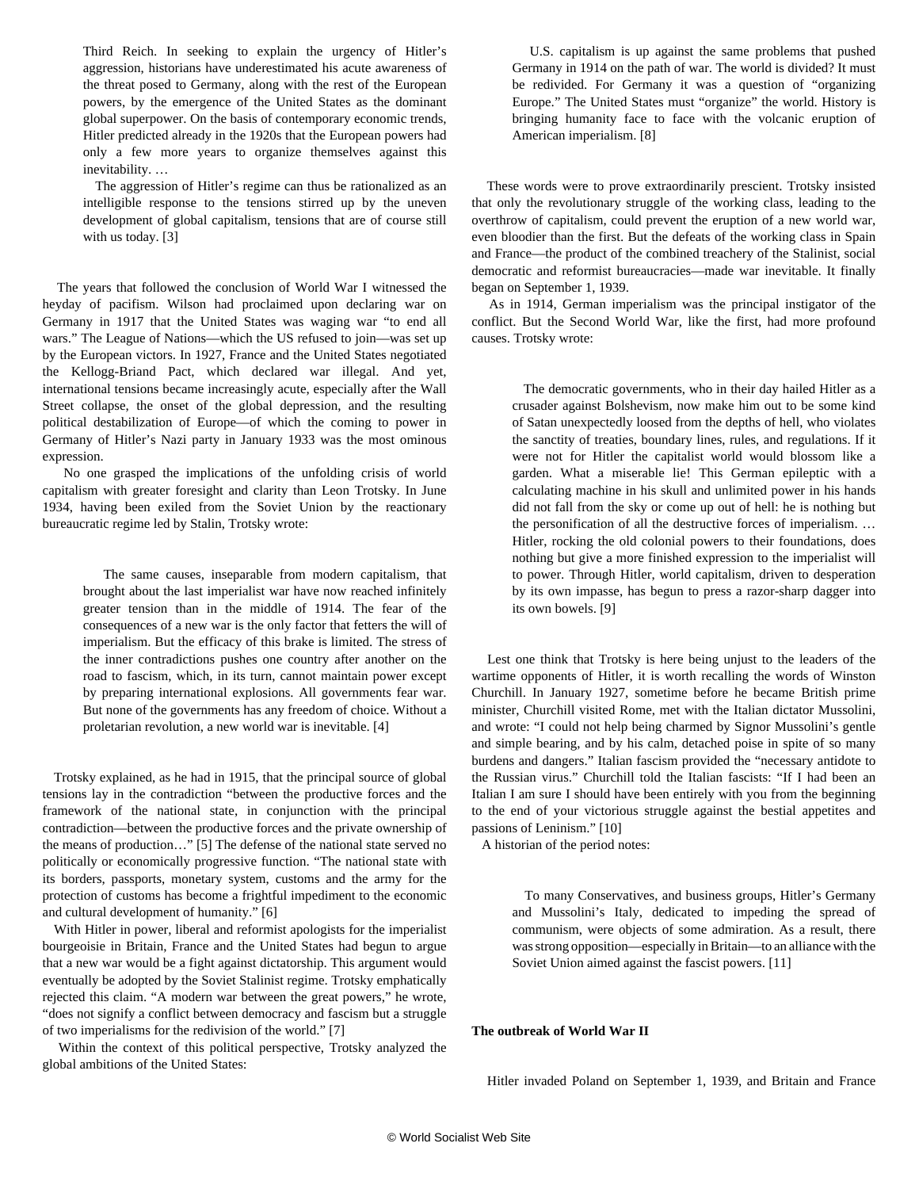Third Reich. In seeking to explain the urgency of Hitler's aggression, historians have underestimated his acute awareness of the threat posed to Germany, along with the rest of the European powers, by the emergence of the United States as the dominant global superpower. On the basis of contemporary economic trends, Hitler predicted already in the 1920s that the European powers had only a few more years to organize themselves against this inevitability. …

 The aggression of Hitler's regime can thus be rationalized as an intelligible response to the tensions stirred up by the uneven development of global capitalism, tensions that are of course still with us today. [3]

 The years that followed the conclusion of World War I witnessed the heyday of pacifism. Wilson had proclaimed upon declaring war on Germany in 1917 that the United States was waging war "to end all wars." The League of Nations—which the US refused to join—was set up by the European victors. In 1927, France and the United States negotiated the Kellogg-Briand Pact, which declared war illegal. And yet, international tensions became increasingly acute, especially after the Wall Street collapse, the onset of the global depression, and the resulting political destabilization of Europe—of which the coming to power in Germany of Hitler's Nazi party in January 1933 was the most ominous expression.

 No one grasped the implications of the unfolding crisis of world capitalism with greater foresight and clarity than Leon Trotsky. In June 1934, having been exiled from the Soviet Union by the reactionary bureaucratic regime led by Stalin, Trotsky wrote:

 The same causes, inseparable from modern capitalism, that brought about the last imperialist war have now reached infinitely greater tension than in the middle of 1914. The fear of the consequences of a new war is the only factor that fetters the will of imperialism. But the efficacy of this brake is limited. The stress of the inner contradictions pushes one country after another on the road to fascism, which, in its turn, cannot maintain power except by preparing international explosions. All governments fear war. But none of the governments has any freedom of choice. Without a proletarian revolution, a new world war is inevitable. [4]

 Trotsky explained, as he had in 1915, that the principal source of global tensions lay in the contradiction "between the productive forces and the framework of the national state, in conjunction with the principal contradiction—between the productive forces and the private ownership of the means of production…" [5] The defense of the national state served no politically or economically progressive function. "The national state with its borders, passports, monetary system, customs and the army for the protection of customs has become a frightful impediment to the economic and cultural development of humanity." [6]

 With Hitler in power, liberal and reformist apologists for the imperialist bourgeoisie in Britain, France and the United States had begun to argue that a new war would be a fight against dictatorship. This argument would eventually be adopted by the Soviet Stalinist regime. Trotsky emphatically rejected this claim. "A modern war between the great powers," he wrote, "does not signify a conflict between democracy and fascism but a struggle of two imperialisms for the redivision of the world." [7]

 Within the context of this political perspective, Trotsky analyzed the global ambitions of the United States:

 U.S. capitalism is up against the same problems that pushed Germany in 1914 on the path of war. The world is divided? It must be redivided. For Germany it was a question of "organizing Europe." The United States must "organize" the world. History is bringing humanity face to face with the volcanic eruption of American imperialism. [8]

 These words were to prove extraordinarily prescient. Trotsky insisted that only the revolutionary struggle of the working class, leading to the overthrow of capitalism, could prevent the eruption of a new world war, even bloodier than the first. But the defeats of the working class in Spain and France—the product of the combined treachery of the Stalinist, social democratic and reformist bureaucracies—made war inevitable. It finally began on September 1, 1939.

 As in 1914, German imperialism was the principal instigator of the conflict. But the Second World War, like the first, had more profound causes. Trotsky wrote:

 The democratic governments, who in their day hailed Hitler as a crusader against Bolshevism, now make him out to be some kind of Satan unexpectedly loosed from the depths of hell, who violates the sanctity of treaties, boundary lines, rules, and regulations. If it were not for Hitler the capitalist world would blossom like a garden. What a miserable lie! This German epileptic with a calculating machine in his skull and unlimited power in his hands did not fall from the sky or come up out of hell: he is nothing but the personification of all the destructive forces of imperialism. … Hitler, rocking the old colonial powers to their foundations, does nothing but give a more finished expression to the imperialist will to power. Through Hitler, world capitalism, driven to desperation by its own impasse, has begun to press a razor-sharp dagger into its own bowels. [9]

 Lest one think that Trotsky is here being unjust to the leaders of the wartime opponents of Hitler, it is worth recalling the words of Winston Churchill. In January 1927, sometime before he became British prime minister, Churchill visited Rome, met with the Italian dictator Mussolini, and wrote: "I could not help being charmed by Signor Mussolini's gentle and simple bearing, and by his calm, detached poise in spite of so many burdens and dangers." Italian fascism provided the "necessary antidote to the Russian virus." Churchill told the Italian fascists: "If I had been an Italian I am sure I should have been entirely with you from the beginning to the end of your victorious struggle against the bestial appetites and passions of Leninism." [10]

A historian of the period notes:

 To many Conservatives, and business groups, Hitler's Germany and Mussolini's Italy, dedicated to impeding the spread of communism, were objects of some admiration. As a result, there was strong opposition—especially in Britain—to an alliance with the Soviet Union aimed against the fascist powers. [11]

## **The outbreak of World War II**

Hitler invaded Poland on September 1, 1939, and Britain and France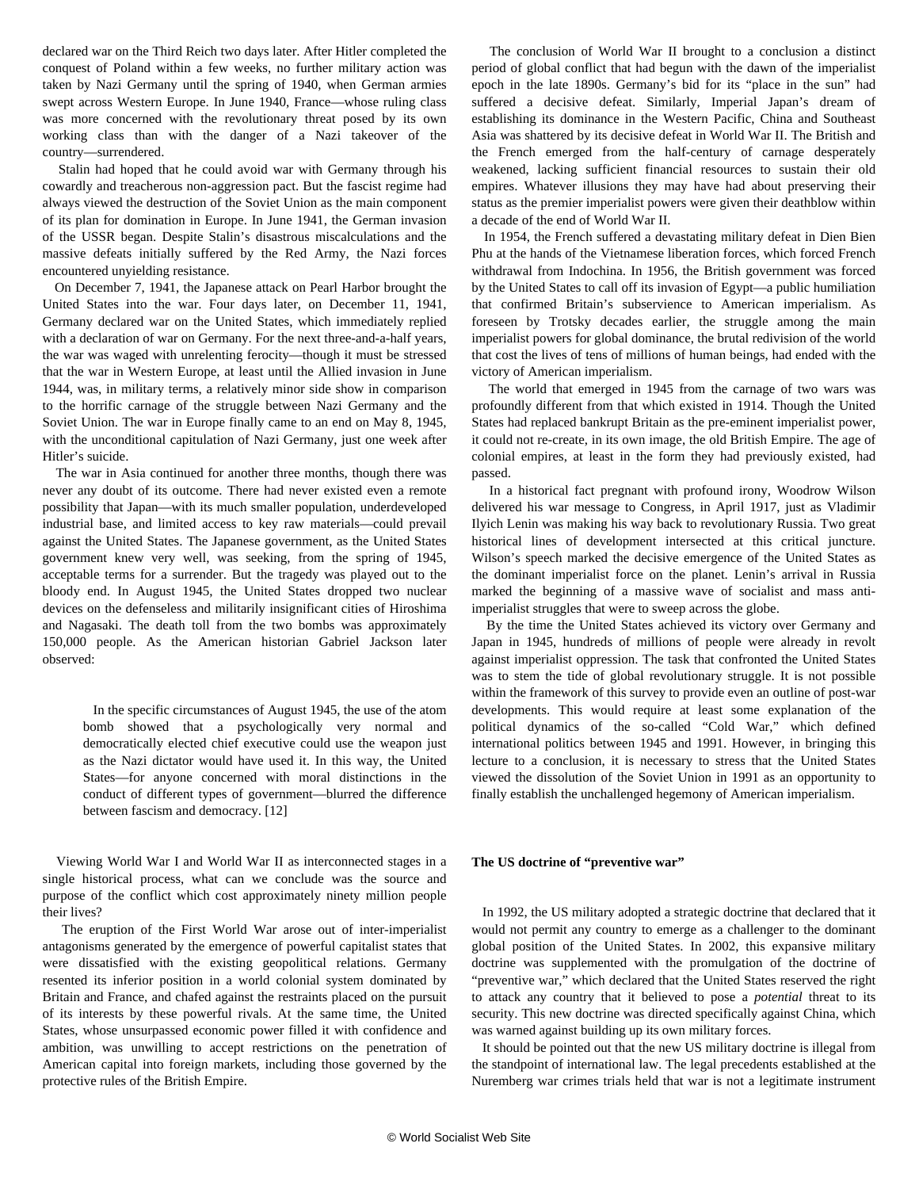declared war on the Third Reich two days later. After Hitler completed the conquest of Poland within a few weeks, no further military action was taken by Nazi Germany until the spring of 1940, when German armies swept across Western Europe. In June 1940, France—whose ruling class was more concerned with the revolutionary threat posed by its own working class than with the danger of a Nazi takeover of the country—surrendered.

 Stalin had hoped that he could avoid war with Germany through his cowardly and treacherous non-aggression pact. But the fascist regime had always viewed the destruction of the Soviet Union as the main component of its plan for domination in Europe. In June 1941, the German invasion of the USSR began. Despite Stalin's disastrous miscalculations and the massive defeats initially suffered by the Red Army, the Nazi forces encountered unyielding resistance.

 On December 7, 1941, the Japanese attack on Pearl Harbor brought the United States into the war. Four days later, on December 11, 1941, Germany declared war on the United States, which immediately replied with a declaration of war on Germany. For the next three-and-a-half years, the war was waged with unrelenting ferocity—though it must be stressed that the war in Western Europe, at least until the Allied invasion in June 1944, was, in military terms, a relatively minor side show in comparison to the horrific carnage of the struggle between Nazi Germany and the Soviet Union. The war in Europe finally came to an end on May 8, 1945, with the unconditional capitulation of Nazi Germany, just one week after Hitler's suicide.

 The war in Asia continued for another three months, though there was never any doubt of its outcome. There had never existed even a remote possibility that Japan—with its much smaller population, underdeveloped industrial base, and limited access to key raw materials—could prevail against the United States. The Japanese government, as the United States government knew very well, was seeking, from the spring of 1945, acceptable terms for a surrender. But the tragedy was played out to the bloody end. In August 1945, the United States dropped two nuclear devices on the defenseless and militarily insignificant cities of Hiroshima and Nagasaki. The death toll from the two bombs was approximately 150,000 people. As the American historian Gabriel Jackson later observed:

 In the specific circumstances of August 1945, the use of the atom bomb showed that a psychologically very normal and democratically elected chief executive could use the weapon just as the Nazi dictator would have used it. In this way, the United States—for anyone concerned with moral distinctions in the conduct of different types of government—blurred the difference between fascism and democracy. [12]

 Viewing World War I and World War II as interconnected stages in a single historical process, what can we conclude was the source and purpose of the conflict which cost approximately ninety million people their lives?

 The eruption of the First World War arose out of inter-imperialist antagonisms generated by the emergence of powerful capitalist states that were dissatisfied with the existing geopolitical relations. Germany resented its inferior position in a world colonial system dominated by Britain and France, and chafed against the restraints placed on the pursuit of its interests by these powerful rivals. At the same time, the United States, whose unsurpassed economic power filled it with confidence and ambition, was unwilling to accept restrictions on the penetration of American capital into foreign markets, including those governed by the protective rules of the British Empire.

 The conclusion of World War II brought to a conclusion a distinct period of global conflict that had begun with the dawn of the imperialist epoch in the late 1890s. Germany's bid for its "place in the sun" had suffered a decisive defeat. Similarly, Imperial Japan's dream of establishing its dominance in the Western Pacific, China and Southeast Asia was shattered by its decisive defeat in World War II. The British and the French emerged from the half-century of carnage desperately weakened, lacking sufficient financial resources to sustain their old empires. Whatever illusions they may have had about preserving their status as the premier imperialist powers were given their deathblow within a decade of the end of World War II.

 In 1954, the French suffered a devastating military defeat in Dien Bien Phu at the hands of the Vietnamese liberation forces, which forced French withdrawal from Indochina. In 1956, the British government was forced by the United States to call off its invasion of Egypt—a public humiliation that confirmed Britain's subservience to American imperialism. As foreseen by Trotsky decades earlier, the struggle among the main imperialist powers for global dominance, the brutal redivision of the world that cost the lives of tens of millions of human beings, had ended with the victory of American imperialism.

 The world that emerged in 1945 from the carnage of two wars was profoundly different from that which existed in 1914. Though the United States had replaced bankrupt Britain as the pre-eminent imperialist power, it could not re-create, in its own image, the old British Empire. The age of colonial empires, at least in the form they had previously existed, had passed.

 In a historical fact pregnant with profound irony, Woodrow Wilson delivered his war message to Congress, in April 1917, just as Vladimir Ilyich Lenin was making his way back to revolutionary Russia. Two great historical lines of development intersected at this critical juncture. Wilson's speech marked the decisive emergence of the United States as the dominant imperialist force on the planet. Lenin's arrival in Russia marked the beginning of a massive wave of socialist and mass antiimperialist struggles that were to sweep across the globe.

 By the time the United States achieved its victory over Germany and Japan in 1945, hundreds of millions of people were already in revolt against imperialist oppression. The task that confronted the United States was to stem the tide of global revolutionary struggle. It is not possible within the framework of this survey to provide even an outline of post-war developments. This would require at least some explanation of the political dynamics of the so-called "Cold War," which defined international politics between 1945 and 1991. However, in bringing this lecture to a conclusion, it is necessary to stress that the United States viewed the dissolution of the Soviet Union in 1991 as an opportunity to finally establish the unchallenged hegemony of American imperialism.

#### **The US doctrine of "preventive war"**

 In 1992, the US military adopted a strategic doctrine that declared that it would not permit any country to emerge as a challenger to the dominant global position of the United States. In 2002, this expansive military doctrine was supplemented with the promulgation of the doctrine of "preventive war," which declared that the United States reserved the right to attack any country that it believed to pose a *potential* threat to its security. This new doctrine was directed specifically against China, which was warned against building up its own military forces.

 It should be pointed out that the new US military doctrine is illegal from the standpoint of international law. The legal precedents established at the Nuremberg war crimes trials held that war is not a legitimate instrument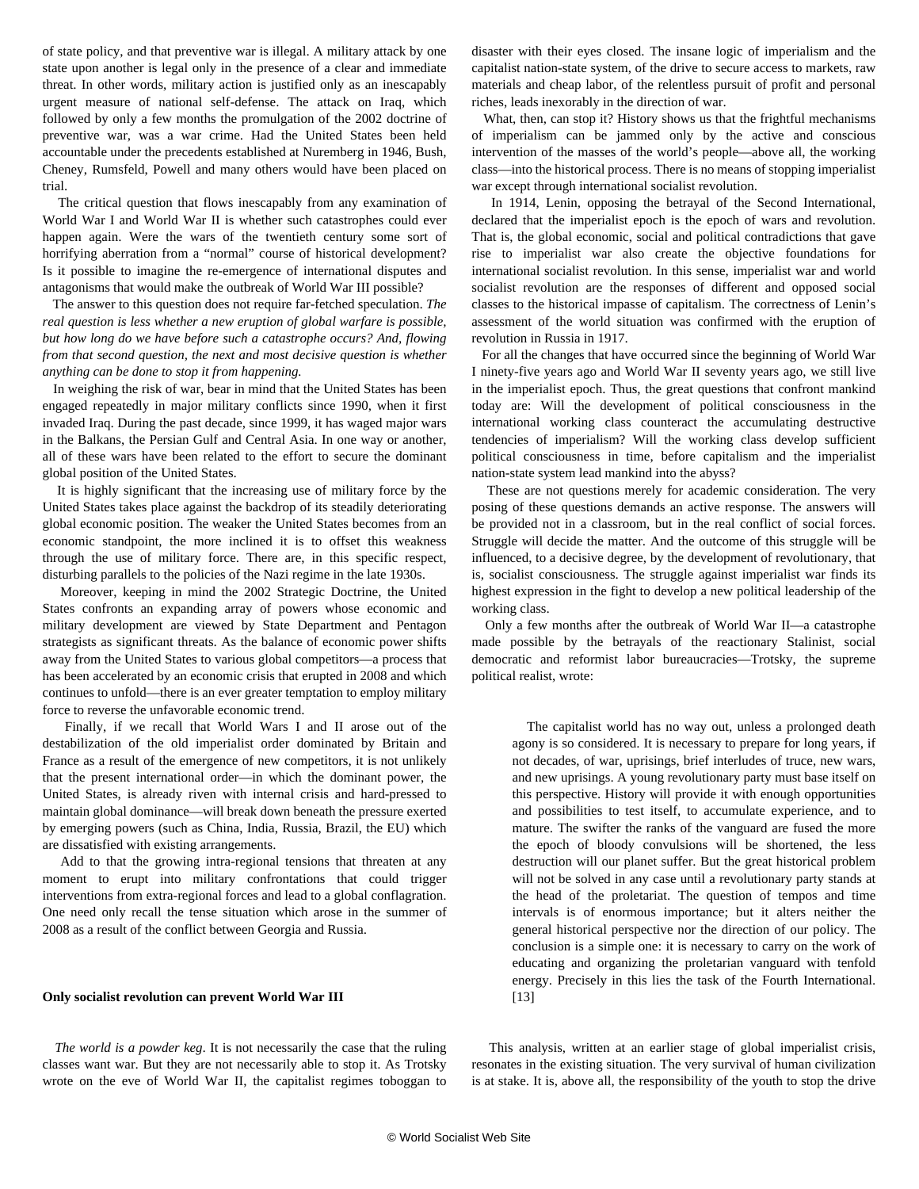of state policy, and that preventive war is illegal. A military attack by one state upon another is legal only in the presence of a clear and immediate threat. In other words, military action is justified only as an inescapably urgent measure of national self-defense. The attack on Iraq, which followed by only a few months the promulgation of the 2002 doctrine of preventive war, was a war crime. Had the United States been held accountable under the precedents established at Nuremberg in 1946, Bush, Cheney, Rumsfeld, Powell and many others would have been placed on trial.

 The critical question that flows inescapably from any examination of World War I and World War II is whether such catastrophes could ever happen again. Were the wars of the twentieth century some sort of horrifying aberration from a "normal" course of historical development? Is it possible to imagine the re-emergence of international disputes and antagonisms that would make the outbreak of World War III possible?

 The answer to this question does not require far-fetched speculation. *The real question is less whether a new eruption of global warfare is possible, but how long do we have before such a catastrophe occurs? And, flowing from that second question, the next and most decisive question is whether anything can be done to stop it from happening.*

 In weighing the risk of war, bear in mind that the United States has been engaged repeatedly in major military conflicts since 1990, when it first invaded Iraq. During the past decade, since 1999, it has waged major wars in the Balkans, the Persian Gulf and Central Asia. In one way or another, all of these wars have been related to the effort to secure the dominant global position of the United States.

 It is highly significant that the increasing use of military force by the United States takes place against the backdrop of its steadily deteriorating global economic position. The weaker the United States becomes from an economic standpoint, the more inclined it is to offset this weakness through the use of military force. There are, in this specific respect, disturbing parallels to the policies of the Nazi regime in the late 1930s.

 Moreover, keeping in mind the 2002 Strategic Doctrine, the United States confronts an expanding array of powers whose economic and military development are viewed by State Department and Pentagon strategists as significant threats. As the balance of economic power shifts away from the United States to various global competitors—a process that has been accelerated by an economic crisis that erupted in 2008 and which continues to unfold—there is an ever greater temptation to employ military force to reverse the unfavorable economic trend.

 Finally, if we recall that World Wars I and II arose out of the destabilization of the old imperialist order dominated by Britain and France as a result of the emergence of new competitors, it is not unlikely that the present international order—in which the dominant power, the United States, is already riven with internal crisis and hard-pressed to maintain global dominance—will break down beneath the pressure exerted by emerging powers (such as China, India, Russia, Brazil, the EU) which are dissatisfied with existing arrangements.

 Add to that the growing intra-regional tensions that threaten at any moment to erupt into military confrontations that could trigger interventions from extra-regional forces and lead to a global conflagration. One need only recall the tense situation which arose in the summer of 2008 as a result of the conflict between Georgia and Russia.

#### **Only socialist revolution can prevent World War III**

 *The world is a powder keg*. It is not necessarily the case that the ruling classes want war. But they are not necessarily able to stop it. As Trotsky wrote on the eve of World War II, the capitalist regimes toboggan to disaster with their eyes closed. The insane logic of imperialism and the capitalist nation-state system, of the drive to secure access to markets, raw materials and cheap labor, of the relentless pursuit of profit and personal riches, leads inexorably in the direction of war.

 What, then, can stop it? History shows us that the frightful mechanisms of imperialism can be jammed only by the active and conscious intervention of the masses of the world's people—above all, the working class—into the historical process. There is no means of stopping imperialist war except through international socialist revolution.

 In 1914, Lenin, opposing the betrayal of the Second International, declared that the imperialist epoch is the epoch of wars and revolution. That is, the global economic, social and political contradictions that gave rise to imperialist war also create the objective foundations for international socialist revolution. In this sense, imperialist war and world socialist revolution are the responses of different and opposed social classes to the historical impasse of capitalism. The correctness of Lenin's assessment of the world situation was confirmed with the eruption of revolution in Russia in 1917.

 For all the changes that have occurred since the beginning of World War I ninety-five years ago and World War II seventy years ago, we still live in the imperialist epoch. Thus, the great questions that confront mankind today are: Will the development of political consciousness in the international working class counteract the accumulating destructive tendencies of imperialism? Will the working class develop sufficient political consciousness in time, before capitalism and the imperialist nation-state system lead mankind into the abyss?

 These are not questions merely for academic consideration. The very posing of these questions demands an active response. The answers will be provided not in a classroom, but in the real conflict of social forces. Struggle will decide the matter. And the outcome of this struggle will be influenced, to a decisive degree, by the development of revolutionary, that is, socialist consciousness. The struggle against imperialist war finds its highest expression in the fight to develop a new political leadership of the working class.

 Only a few months after the outbreak of World War II—a catastrophe made possible by the betrayals of the reactionary Stalinist, social democratic and reformist labor bureaucracies—Trotsky, the supreme political realist, wrote:

 The capitalist world has no way out, unless a prolonged death agony is so considered. It is necessary to prepare for long years, if not decades, of war, uprisings, brief interludes of truce, new wars, and new uprisings. A young revolutionary party must base itself on this perspective. History will provide it with enough opportunities and possibilities to test itself, to accumulate experience, and to mature. The swifter the ranks of the vanguard are fused the more the epoch of bloody convulsions will be shortened, the less destruction will our planet suffer. But the great historical problem will not be solved in any case until a revolutionary party stands at the head of the proletariat. The question of tempos and time intervals is of enormous importance; but it alters neither the general historical perspective nor the direction of our policy. The conclusion is a simple one: it is necessary to carry on the work of educating and organizing the proletarian vanguard with tenfold energy. Precisely in this lies the task of the Fourth International. [13]

 This analysis, written at an earlier stage of global imperialist crisis, resonates in the existing situation. The very survival of human civilization is at stake. It is, above all, the responsibility of the youth to stop the drive